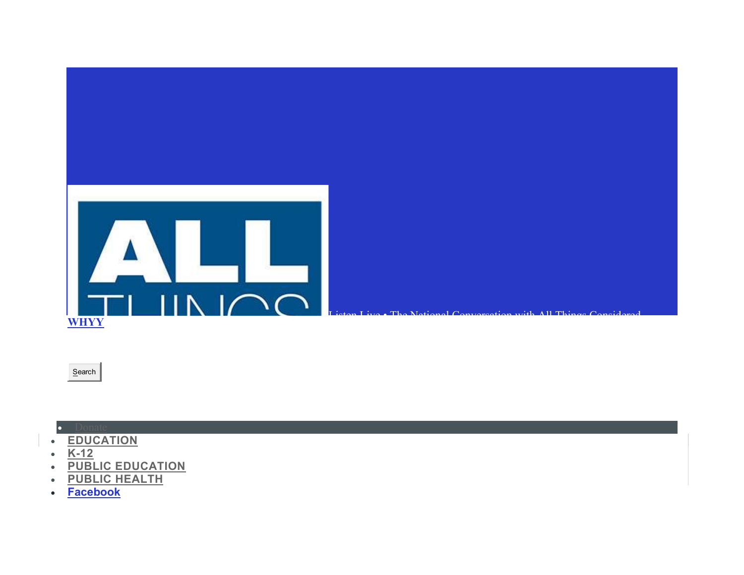- **Facebook**
- PUBLIC HEALTH
- PUBLIC EDUCATION
- $\cdot$  K-12
- **EDUCATION**



• Donate

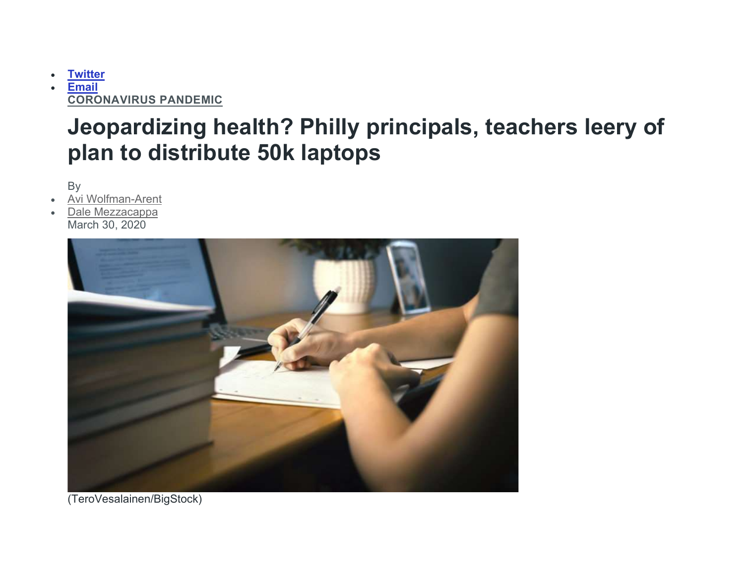**Twitter Email** CORONAVIRUS PANDEMIC

## Jeopardizing health? Philly principals, teachers leery of plan to distribute 50k laptops

By

- Avi Wolfman-Arent
- Dale Mezzacappa March 30, 2020



(TeroVesalainen/BigStock)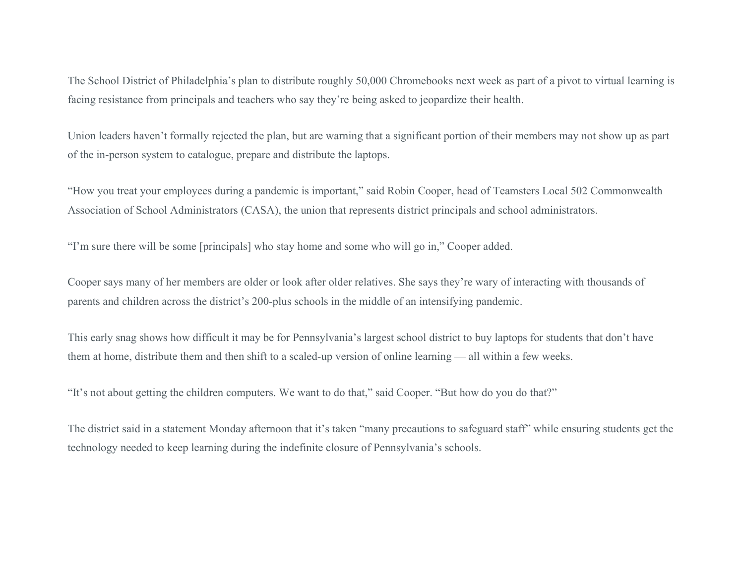The School District of Philadelphia's plan to distribute roughly 50,000 Chromebooks next week as part of a pivot to virtual learning is facing resistance from principals and teachers who say they're being asked to jeopardize their health.

Union leaders haven't formally rejected the plan, but are warning that a significant portion of their members may not show up as part of the in-person system to catalogue, prepare and distribute the laptops.

"How you treat your employees during a pandemic is important," said Robin Cooper, head of Teamsters Local 502 Commonwealth Association of School Administrators (CASA), the union that represents district principals and school administrators.

"I'm sure there will be some [principals] who stay home and some who will go in," Cooper added.

Cooper says many of her members are older or look after older relatives. She says they're wary of interacting with thousands of parents and children across the district's 200-plus schools in the middle of an intensifying pandemic.

This early snag shows how difficult it may be for Pennsylvania's largest school district to buy laptops for students that don't have them at home, distribute them and then shift to a scaled-up version of online learning — all within a few weeks.

"It's not about getting the children computers. We want to do that," said Cooper. "But how do you do that?"

The district said in a statement Monday afternoon that it's taken "many precautions to safeguard staff" while ensuring students get the technology needed to keep learning during the indefinite closure of Pennsylvania's schools.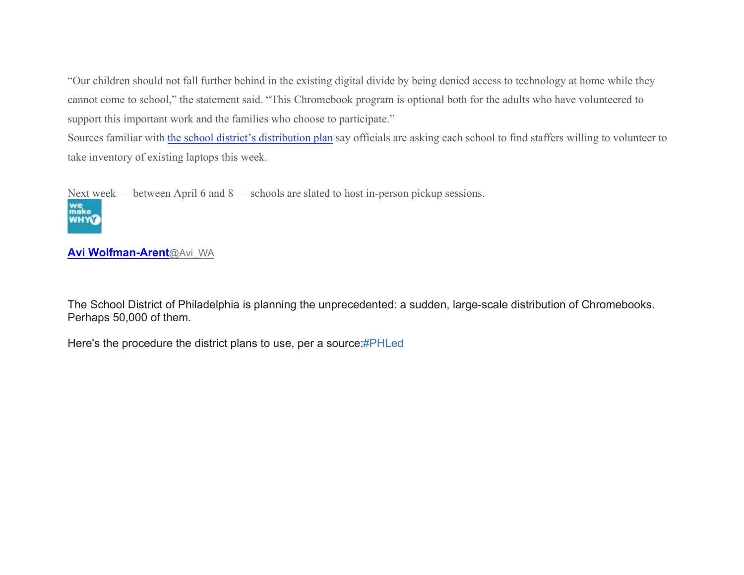"Our children should not fall further behind in the existing digital divide by being denied access to technology at home while they cannot come to school," the statement said. "This Chromebook program is optional both for the adults who have volunteered to support this important work and the families who choose to participate."

Sources familiar with the school district's distribution plan say officials are asking each school to find staffers willing to volunteer to take inventory of existing laptops this week.

Next week — between April 6 and 8 — schools are slated to host in-person pickup sessions.



### Avi Wolfman-Arent@Avi\_WA

The School District of Philadelphia is planning the unprecedented: a sudden, large-scale distribution of Chromebooks. Perhaps 50,000 of them.

Here's the procedure the district plans to use, per a source:#PHLed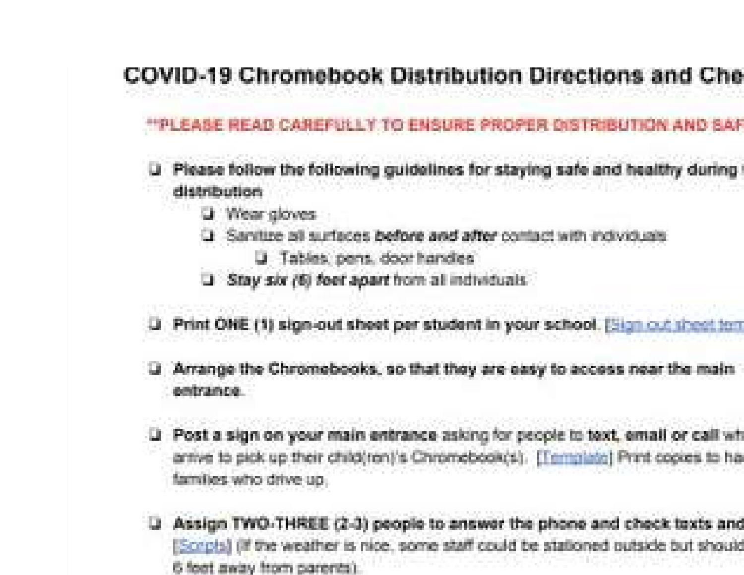# COVID-19 Chromebook Distribution Directions and Che

## \*\*\*\* FASE READ CAREESH LY TO FUSINE PROPER OSTROUTION AND SAF

- U. Please follow the following guidelines for staying safe and healthy during distribution
	- U Wear gloves
	- Q Sanitize all surfaces before and after contact with individuals
		- U Tables pens, door handles
	- Stay six (6) feet apart from all individuals
- U. Print OHE (1) sign-out sheet per student in your school. [Sign out sheet ten
- U Arrange the Chromobooks, so that they are easy to access near the main entrance
- Li Post a sign on your main entrance asking for people to text, email or call wh arrive to pick up their child/ren)'s Chromebookrish. [Termolate] Print cookes to ha families who drive up
- U Assign TWO-THREE (2-3) people to answer the phone and check texts and [Scripts] (if the weather is nice, some staff could be stationed outside but should 6 foot away from carents).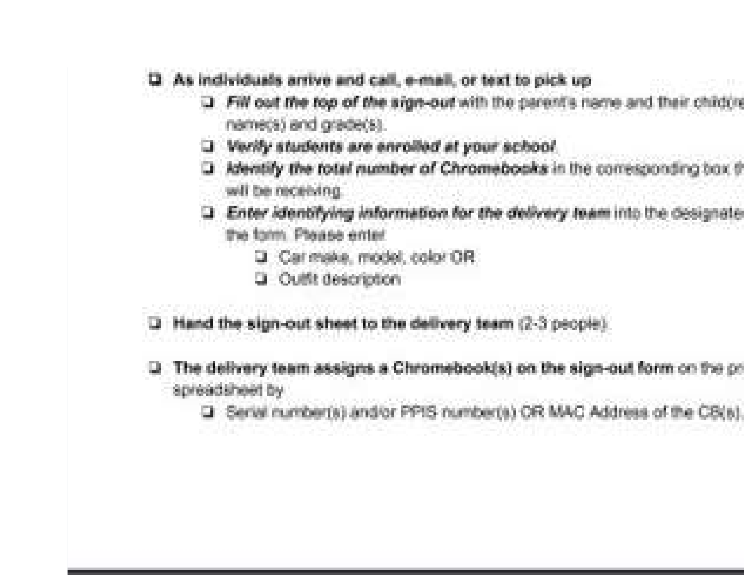- As individuals arrive and call, e-mail, or text to pick up п.
	- D Fill out the top of the sign-out with the parent's name and their children namecs) and grade(s).
	- 3 Verify students are enrolled at your school
	- D. Jakestify the total number of Chromebooks in the corresponding box th will be receiving
	- 2 Enter identifying information for the delivery team into the designate the form. Please enter
		- D. Carl make, model, color OR
		- D. Quifit description
- D Hand the sign-out sheet to the delivery team (2-3 people).
- 100 MW 202
- The delivery team assigns a Chromebook(s) on the sign-out form on the or spreadsheet by
	- D Serial number(s) and/or PPIS number(s) CR MAC Address of the CS(s)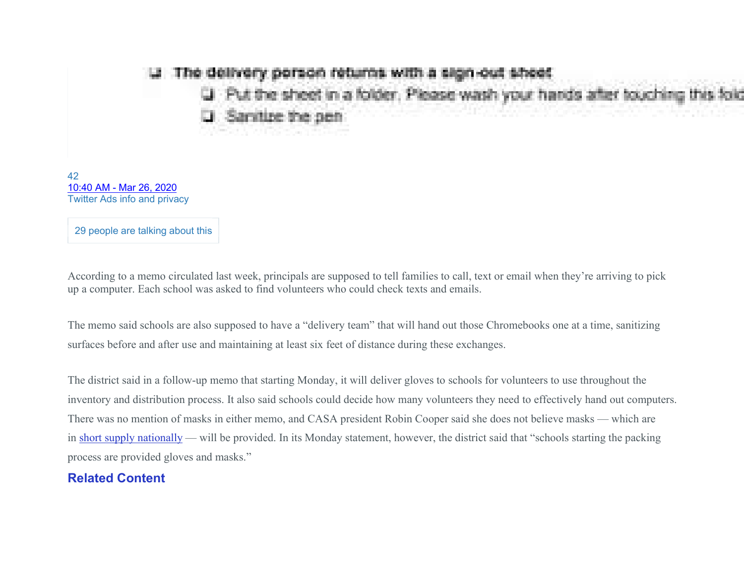### The delivery person returns with a sign-out sheet

Put the sheet in a folder. Please wash your hards after touchi

ire the nen

42 10:40 AM - Mar 26, 2020 Twitter Ads info and privacy

29 people are talking about this

According to a memo circulated last week, principals are supposed to tell families to call, text or email when they're arriving to pick up a computer. Each school was asked to find volunteers who could check texts and emails.

The memo said schools are also supposed to have a "delivery team" that will hand out those Chromebooks one at a time, sanitizing surfaces before and after use and maintaining at least six feet of distance during these exchanges.

The district said in a follow-up memo that starting Monday, it will deliver gloves to schools for volunteers to use throughout the inventory and distribution process. It also said schools could decide how many volunteers they need to effectively hand out computers. There was no mention of masks in either memo, and CASA president Robin Cooper said she does not believe masks — which are in short supply nationally — will be provided. In its Monday statement, however, the district said that "schools starting the packing process are provided gloves and masks."

#### Related Content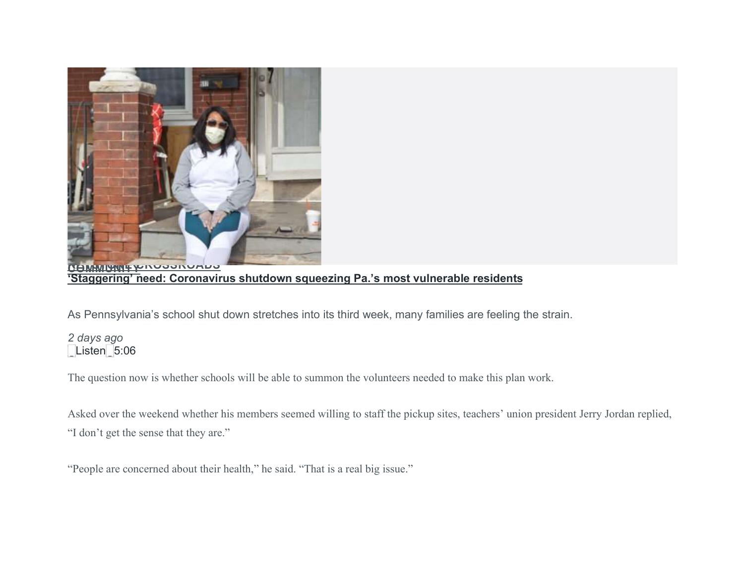

'Staggering' need: Coronavirus shutdown squeezing Pa.'s most vulnerable residents

As Pennsylvania's school shut down stretches into its third week, many families are feeling the strain.

### 2 days ago Listen 5:06

The question now is whether schools will be able to summon the volunteers needed to make this plan work.

Asked over the weekend whether his members seemed willing to staff the pickup sites, teachers' union president Jerry Jordan replied, "I don't get the sense that they are."

"People are concerned about their health," he said. "That is a real big issue."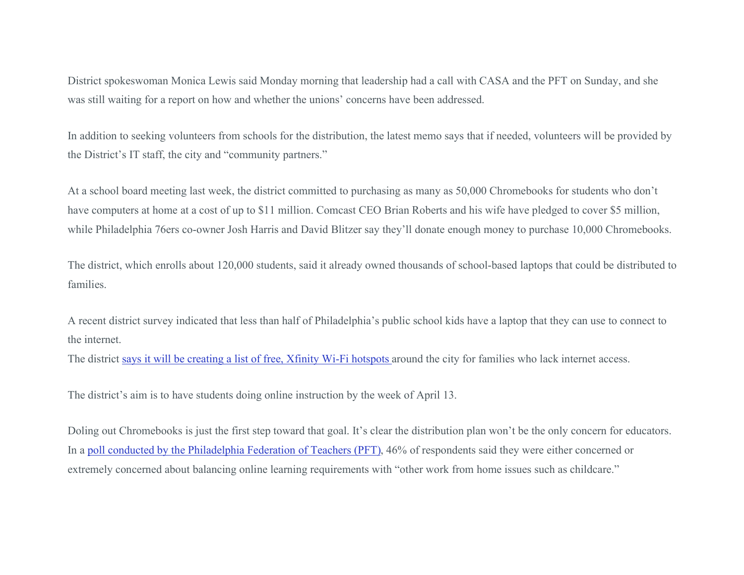District spokeswoman Monica Lewis said Monday morning that leadership had a call with CASA and the PFT on Sunday, and she was still waiting for a report on how and whether the unions' concerns have been addressed.

In addition to seeking volunteers from schools for the distribution, the latest memo says that if needed, volunteers will be provided by the District's IT staff, the city and "community partners."

At a school board meeting last week, the district committed to purchasing as many as 50,000 Chromebooks for students who don't have computers at home at a cost of up to \$11 million. Comcast CEO Brian Roberts and his wife have pledged to cover \$5 million, while Philadelphia 76ers co-owner Josh Harris and David Blitzer say they'll donate enough money to purchase 10,000 Chromebooks.

The district, which enrolls about 120,000 students, said it already owned thousands of school-based laptops that could be distributed to families.

A recent district survey indicated that less than half of Philadelphia's public school kids have a laptop that they can use to connect to the internet.

The district says it will be creating a list of free, Xfinity Wi-Fi hotspots around the city for families who lack internet access.

The district's aim is to have students doing online instruction by the week of April 13.

Doling out Chromebooks is just the first step toward that goal. It's clear the distribution plan won't be the only concern for educators. In a poll conducted by the Philadelphia Federation of Teachers (PFT), 46% of respondents said they were either concerned or extremely concerned about balancing online learning requirements with "other work from home issues such as childcare."